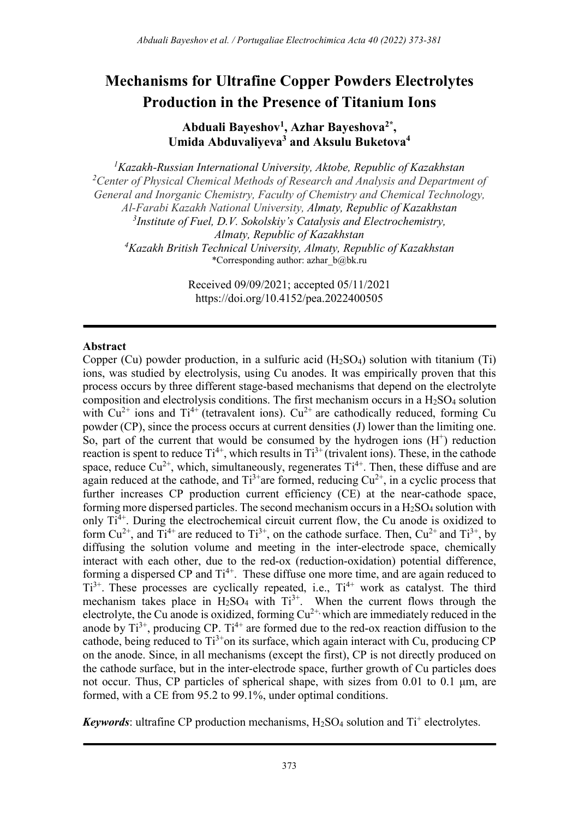# Mechanisms for Ultrafine Copper Powders Electrolytes Production in the Presence of Titanium Ions

Abduali Bayeshov<sup>1</sup>, Azhar Bayeshova<sup>2\*</sup>, Umida Abduvaliyeva<sup>3</sup> and Aksulu Buketova<sup>4</sup>

 ${}^{1}$ Kazakh-Russian International University, Aktobe, Republic of Kazakhstan <sup>2</sup> Center of Physical Chemical Methods of Research and Analysis and Department of General and Inorganic Chemistry, Faculty of Chemistry and Chemical Technology, Al-Farabi Kazakh National University, Almaty, Republic of Kazakhstan  $3$ Institute of Fuel, D.V. Sokolskiy's Catalysis and Electrochemistry, Almaty, Republic of Kazakhstan <sup>4</sup>Kazakh British Technical University, Almaty, Republic of Kazakhstan \*Corresponding author: azhar\_b@bk.ru

> Received 09/09/2021; accepted 05/11/2021 https://doi.org/10.4152/pea.2022400505

#### Abstract

Copper (Cu) powder production, in a sulfuric acid  $(H_2SO_4)$  solution with titanium (Ti) ions, was studied by electrolysis, using Cu anodes. It was empirically proven that this process occurs by three different stage-based mechanisms that depend on the electrolyte composition and electrolysis conditions. The first mechanism occurs in a  $H_2SO_4$  solution with  $Cu^{2+}$  ions and  $Ti^{4+}$  (tetravalent ions).  $Cu^{2+}$  are cathodically reduced, forming Cu powder (CP), since the process occurs at current densities (J) lower than the limiting one. So, part of the current that would be consumed by the hydrogen ions  $(H<sup>+</sup>)$  reduction reaction is spent to reduce  $Ti^{4+}$ , which results in  $Ti^{3+}$  (trivalent ions). These, in the cathode space, reduce  $Cu^{2+}$ , which, simultaneously, regenerates  $Ti^{4+}$ . Then, these diffuse and are again reduced at the cathode, and  $Ti^{3+}$ are formed, reducing  $Cu^{2+}$ , in a cyclic process that further increases CP production current efficiency (CE) at the near-cathode space, forming more dispersed particles. The second mechanism occurs in a  $H_2SO_4$  solution with only  $Ti<sup>4+</sup>$ . During the electrochemical circuit current flow, the Cu anode is oxidized to form  $Cu^{2+}$ , and  $Ti^{4+}$  are reduced to  $Ti^{3+}$ , on the cathode surface. Then,  $Cu^{2+}$  and  $Ti^{3+}$ , by diffusing the solution volume and meeting in the inter-electrode space, chemically interact with each other, due to the red-ox (reduction-oxidation) potential difference, forming a dispersed CP and  $Ti^{4+}$ . These diffuse one more time, and are again reduced to  $Ti^{3+}$ . These processes are cyclically repeated, i.e.,  $Ti^{4+}$  work as catalyst. The third mechanism takes place in  $H_2SO_4$  with  $Ti^{3+}$ . When the current flows through the electrolyte, the Cu anode is oxidized, forming  $Cu^{2+}$ , which are immediately reduced in the anode by  $Ti^{3+}$ , producing CP.  $Ti^{4+}$  are formed due to the red-ox reaction diffusion to the cathode, being reduced to  $Ti^{3+}$ on its surface, which again interact with Cu, producing CP on the anode. Since, in all mechanisms (except the first), CP is not directly produced on the cathode surface, but in the inter-electrode space, further growth of Cu particles does not occur. Thus, CP particles of spherical shape, with sizes from 0.01 to 0.1 μm, are formed, with a CE from 95.2 to 99.1%, under optimal conditions.

Keywords: ultrafine CP production mechanisms,  $H_2SO_4$  solution and  $Ti^+$  electrolytes.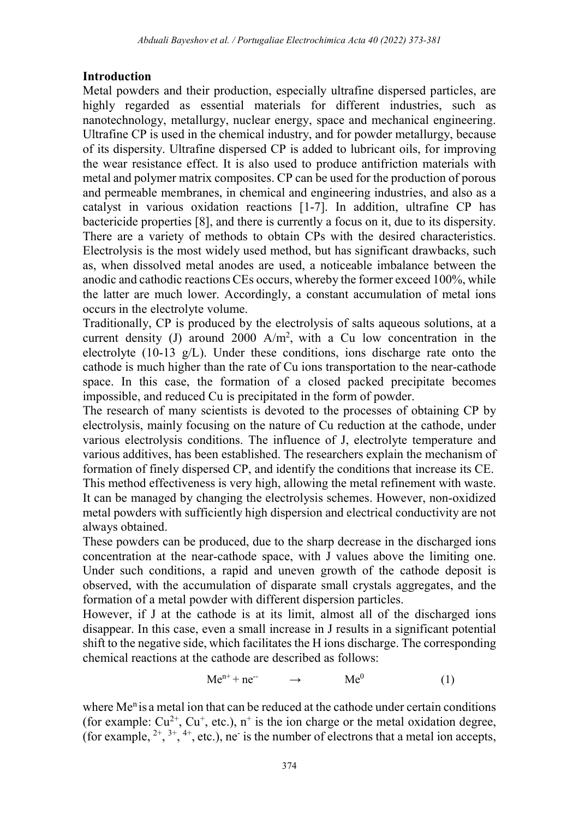### Introduction

Metal powders and their production, especially ultrafine dispersed particles, are highly regarded as essential materials for different industries, such as nanotechnology, metallurgy, nuclear energy, space and mechanical engineering. Ultrafine CP is used in the chemical industry, and for powder metallurgy, because of its dispersity. Ultrafine dispersed CP is added to lubricant oils, for improving the wear resistance effect. It is also used to produce antifriction materials with metal and polymer matrix composites. CP can be used for the production of porous and permeable membranes, in chemical and engineering industries, and also as a catalyst in various oxidation reactions [1-7]. In addition, ultrafine CP has bactericide properties [8], and there is currently a focus on it, due to its dispersity. There are a variety of methods to obtain CPs with the desired characteristics. Electrolysis is the most widely used method, but has significant drawbacks, such as, when dissolved metal anodes are used, a noticeable imbalance between the anodic and cathodic reactions CEs occurs, whereby the former exceed 100%, while the latter are much lower. Accordingly, a constant accumulation of metal ions occurs in the electrolyte volume.

Traditionally, CP is produced by the electrolysis of salts aqueous solutions, at a current density (J) around  $2000$  A/m<sup>2</sup>, with a Cu low concentration in the electrolyte (10-13 g/L). Under these conditions, ions discharge rate onto the cathode is much higher than the rate of Cu ions transportation to the near-cathode space. In this case, the formation of a closed packed precipitate becomes impossible, and reduced Cu is precipitated in the form of powder.

The research of many scientists is devoted to the processes of obtaining CP by electrolysis, mainly focusing on the nature of Cu reduction at the cathode, under various electrolysis conditions. The influence of J, electrolyte temperature and various additives, has been established. The researchers explain the mechanism of formation of finely dispersed CP, and identify the conditions that increase its CE.

This method effectiveness is very high, allowing the metal refinement with waste. It can be managed by changing the electrolysis schemes. However, non-oxidized metal powders with sufficiently high dispersion and electrical conductivity are not always obtained.

These powders can be produced, due to the sharp decrease in the discharged ions concentration at the near-cathode space, with J values above the limiting one. Under such conditions, a rapid and uneven growth of the cathode deposit is observed, with the accumulation of disparate small crystals aggregates, and the formation of a metal powder with different dispersion particles.

However, if J at the cathode is at its limit, almost all of the discharged ions disappear. In this case, even a small increase in J results in a significant potential shift to the negative side, which facilitates the H ions discharge. The corresponding chemical reactions at the cathode are described as follows:

$$
Me^{n+} + ne^{-} \longrightarrow Me^{0}
$$
 (1)

where  $Me<sup>n</sup>$  is a metal ion that can be reduced at the cathode under certain conditions (for example:  $Cu^{2+}$ ,  $Cu^{+}$ , etc.), n<sup>+</sup> is the ion charge or the metal oxidation degree, (for example,  $2^+$ ,  $3^+$ ,  $4^+$ , etc.), ne<sup>-</sup> is the number of electrons that a metal ion accepts,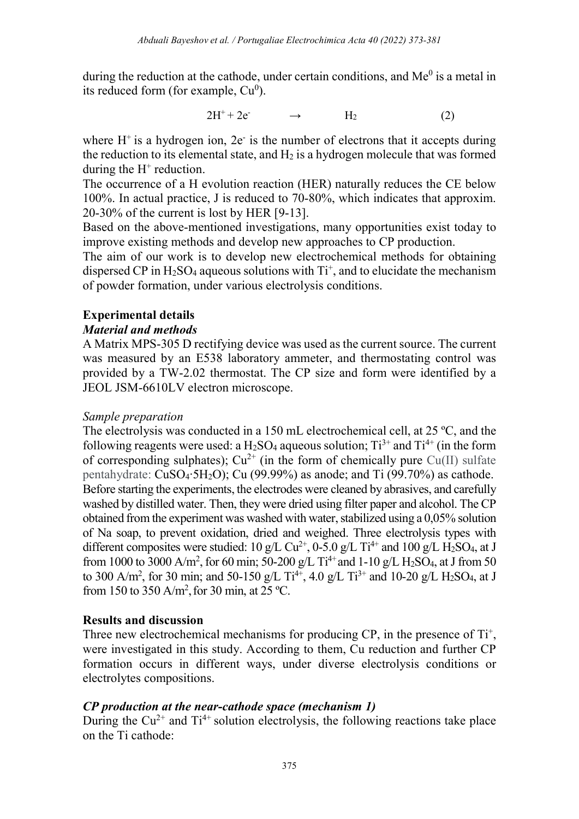during the reduction at the cathode, under certain conditions, and  $Me<sup>0</sup>$  is a metal in its reduced form (for example,  $Cu<sup>0</sup>$ ).

$$
2H^{+} + 2e^{-} \longrightarrow H_{2} \tag{2}
$$

where  $H^+$  is a hydrogen ion,  $2e^-$  is the number of electrons that it accepts during the reduction to its elemental state, and  $H_2$  is a hydrogen molecule that was formed during the  $H^+$  reduction.

The occurrence of a H evolution reaction (HER) naturally reduces the CE below 100%. In actual practice, J is reduced to 70-80%, which indicates that approxim. 20-30% of the current is lost by HER [9-13].

Based on the above-mentioned investigations, many opportunities exist today to improve existing methods and develop new approaches to CP production.

The aim of our work is to develop new electrochemical methods for obtaining dispersed CP in  $H_2SO_4$  aqueous solutions with  $Ti^+$ , and to elucidate the mechanism of powder formation, under various electrolysis conditions.

# Experimental details

#### Material and methods

A Matrix MPS-305 D rectifying device was used as the current source. The current was measured by an E538 laboratory ammeter, and thermostating control was provided by a TW-2.02 thermostat. The CP size and form were identified by a JEOL JSM-6610LV electron microscope.

#### Sample preparation

The electrolysis was conducted in a 150 mL electrochemical cell, at 25 ºC, and the following reagents were used: a  $H_2SO_4$  aqueous solution;  $Ti^{3+}$  and  $Ti^{4+}$  (in the form of corresponding sulphates);  $Cu^{2+}$  (in the form of chemically pure Cu(II) sulfate pentahydrate: CuSO4∙5H2O); Cu (99.99%) as anode; and Ti (99.70%) as cathode. Before starting the experiments, the electrodes were cleaned by abrasives, and carefully washed by distilled water. Then, they were dried using filter paper and alcohol. The CP obtained from the experiment was washed with water, stabilized using a 0,05% solution of Na soap, to prevent oxidation, dried and weighed. Three electrolysis types with different composites were studied: 10 g/L Cu<sup>2+</sup>, 0-5.0 g/L Ti<sup>4+</sup> and 100 g/L H<sub>2</sub>SO<sub>4</sub>, at J from 1000 to 3000 A/m<sup>2</sup>, for 60 min; 50-200 g/L Ti<sup>4+</sup> and 1-10 g/L H<sub>2</sub>SO<sub>4</sub>, at J from 50 to 300 A/m<sup>2</sup>, for 30 min; and 50-150 g/L Ti<sup>4+</sup>, 4.0 g/L Ti<sup>3+</sup> and 10-20 g/L H<sub>2</sub>SO<sub>4</sub>, at J from 150 to 350 A/m<sup>2</sup>, for 30 min, at 25 °C.

### Results and discussion

Three new electrochemical mechanisms for producing CP, in the presence of  $Ti<sup>+</sup>$ , were investigated in this study. According to them, Cu reduction and further CP formation occurs in different ways, under diverse electrolysis conditions or electrolytes compositions.

### CP production at the near-cathode space (mechanism 1)

During the  $Cu^{2+}$  and  $Ti^{4+}$  solution electrolysis, the following reactions take place on the Ti cathode: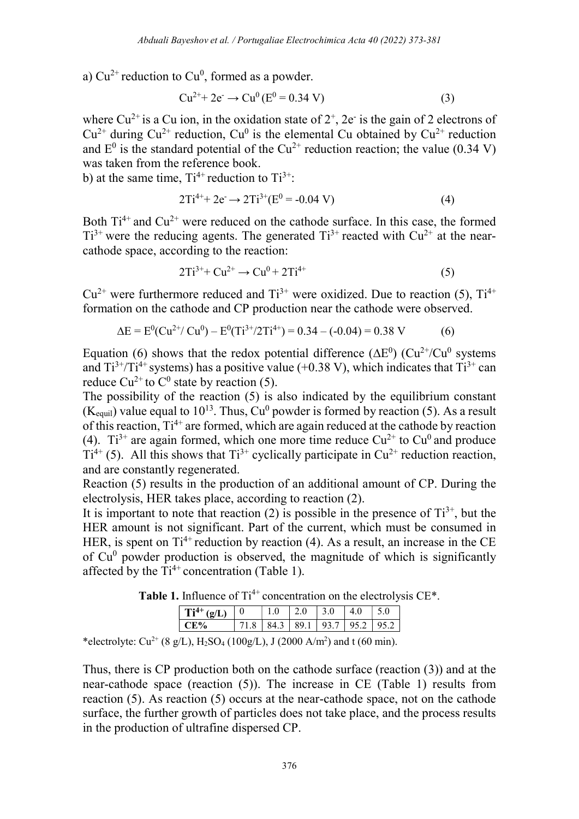a)  $Cu^{2+}$  reduction to  $Cu^0$ , formed as a powder.

$$
Cu^{2+} + 2e^- \to Cu^0 (E^0 = 0.34 V)
$$
 (3)

where Cu<sup>2+</sup> is a Cu ion, in the oxidation state of  $2^+$ , 2e<sup>-</sup> is the gain of 2 electrons of  $Cu^{2+}$  during  $Cu^{2+}$  reduction,  $Cu^{0}$  is the elemental Cu obtained by  $Cu^{2+}$  reduction and  $E^0$  is the standard potential of the Cu<sup>2+</sup> reduction reaction; the value (0.34 V) was taken from the reference book.

b) at the same time,  $Ti^{4+}$  reduction to  $Ti^{3+}$ :

$$
2Ti^{4+} + 2e^- \to 2Ti^{3+}(E^0 = -0.04 \text{ V})
$$
 (4)

Both  $Ti^{4+}$  and  $Cu^{2+}$  were reduced on the cathode surface. In this case, the formed  $Ti^{3+}$  were the reducing agents. The generated  $Ti^{3+}$  reacted with  $Cu^{2+}$  at the nearcathode space, according to the reaction:

$$
2Ti^{3+} + Cu^{2+} \to Cu^0 + 2Ti^{4+}
$$
 (5)

 $Cu^{2+}$  were furthermore reduced and  $Ti^{3+}$  were oxidized. Due to reaction (5),  $Ti^{4+}$ formation on the cathode and CP production near the cathode were observed.

$$
\Delta E = E^{0}(Cu^{2+}/ Cu^{0}) - E^{0}(Ti^{3+}/2Ti^{4+}) = 0.34 - (-0.04) = 0.38 V
$$
 (6)

Equation (6) shows that the redox potential difference ( $\Delta E^0$ ) (Cu<sup>2+</sup>/Cu<sup>0</sup> systems and  $Ti^{3+}/Ti^{4+}$  systems) has a positive value (+0.38 V), which indicates that  $Ti^{3+}$  can reduce Cu<sup>2+</sup> to C<sup>0</sup> state by reaction (5).

The possibility of the reaction  $(5)$  is also indicated by the equilibrium constant (K<sub>equil</sub>) value equal to 10<sup>13</sup>. Thus, Cu<sup>0</sup> powder is formed by reaction (5). As a result of this reaction,  $Ti^{4+}$  are formed, which are again reduced at the cathode by reaction (4).  $Ti^{3+}$  are again formed, which one more time reduce  $Cu^{2+}$  to  $Cu^{0}$  and produce  $Ti<sup>4+</sup>$  (5). All this shows that  $Ti<sup>3+</sup>$  cyclically participate in Cu<sup>2+</sup> reduction reaction, and are constantly regenerated.

Reaction (5) results in the production of an additional amount of CP. During the electrolysis, HER takes place, according to reaction (2).

It is important to note that reaction (2) is possible in the presence of  $Ti^{3+}$ , but the HER amount is not significant. Part of the current, which must be consumed in HER, is spent on  $Ti^{4+}$  reduction by reaction (4). As a result, an increase in the CE of  $Cu<sup>0</sup>$  powder production is observed, the magnitude of which is significantly affected by the  $Ti^{4+}$  concentration (Table 1).

Table 1. Influence of  $Ti^{4+}$  concentration on the electrolysis CE\*.

| $Ti^{4+}(g/L)$ 0                  |  | $\perp$ 2.0 | $\degree$   3.0 | $ 4.0 $ 5.0 |                                         |
|-----------------------------------|--|-------------|-----------------|-------------|-----------------------------------------|
| $C$ $F$ <sup><math>0</math></sup> |  |             |                 |             | 71.8   84.3   89.1   93.7   95.2   95.2 |

\*electrolyte: Cu<sup>2+</sup> (8 g/L), H<sub>2</sub>SO<sub>4</sub> (100g/L), J (2000 A/m<sup>2</sup>) and t (60 min).

Thus, there is CP production both on the cathode surface (reaction (3)) and at the near-cathode space (reaction (5)). The increase in CE (Table 1) results from reaction (5). As reaction (5) occurs at the near-cathode space, not on the cathode surface, the further growth of particles does not take place, and the process results in the production of ultrafine dispersed CP.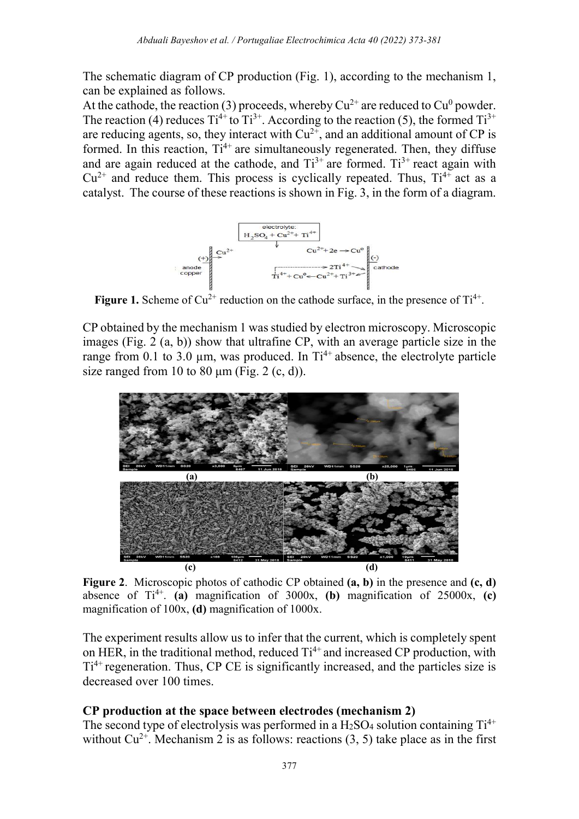The schematic diagram of CP production (Fig. 1), according to the mechanism 1, can be explained as follows.

At the cathode, the reaction (3) proceeds, whereby  $Cu^{2+}$  are reduced to  $Cu^{0}$  powder. The reaction (4) reduces  $Ti^{4+}$  to  $Ti^{3+}$ . According to the reaction (5), the formed  $Ti^{3+}$ are reducing agents, so, they interact with  $Cu^{2+}$ , and an additional amount of CP is formed. In this reaction,  $Ti^{4+}$  are simultaneously regenerated. Then, they diffuse and are again reduced at the cathode, and  $Ti^{3+}$  are formed.  $Ti^{3+}$  react again with  $Cu^{2+}$  and reduce them. This process is cyclically repeated. Thus,  $Ti^{4+}$  act as a catalyst. The course of these reactions is shown in Fig. 3, in the form of a diagram.



Figure 1. Scheme of  $Cu^{2+}$  reduction on the cathode surface, in the presence of  $Ti^{4+}$ .

CP obtained by the mechanism 1 was studied by electron microscopy. Microscopic images (Fig. 2 (a, b)) show that ultrafine CP, with an average particle size in the range from 0.1 to 3.0  $\mu$ m, was produced. In Ti<sup>4+</sup> absence, the electrolyte particle size ranged from 10 to 80  $\mu$ m (Fig. 2 (c, d)).



Figure 2. Microscopic photos of cathodic CP obtained  $(a, b)$  in the presence and  $(c, d)$ absence of  $Ti^{4+}$ . (a) magnification of 3000x, (b) magnification of 25000x, (c) magnification of 100x, (d) magnification of 1000x.

The experiment results allow us to infer that the current, which is completely spent on HER, in the traditional method, reduced  $Ti^{4+}$  and increased CP production, with  $Ti<sup>4+</sup>$  regeneration. Thus, CP CE is significantly increased, and the particles size is decreased over 100 times.

### CP production at the space between electrodes (mechanism 2)

The second type of electrolysis was performed in a  $H_2SO_4$  solution containing  $Ti^{4+}$ without  $Cu^{2+}$ . Mechanism 2 is as follows: reactions (3, 5) take place as in the first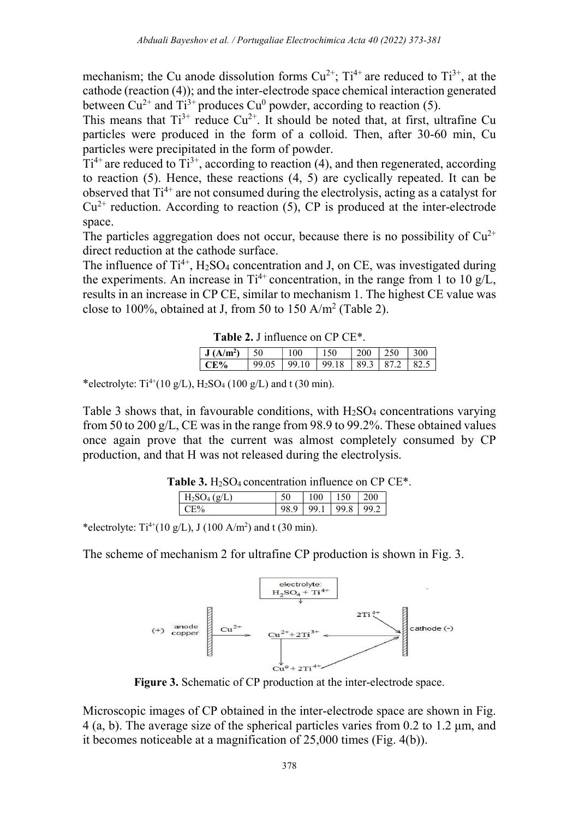mechanism; the Cu anode dissolution forms  $Cu^{2+}$ ;  $Ti^{4+}$  are reduced to  $Ti^{3+}$ , at the cathode (reaction (4)); and the inter-electrode space chemical interaction generated between Cu<sup>2+</sup> and Ti<sup>3+</sup> produces Cu<sup>0</sup> powder, according to reaction (5).

This means that  $Ti^{3+}$  reduce  $Cu^{2+}$ . It should be noted that, at first, ultrafine Cu particles were produced in the form of a colloid. Then, after 30-60 min, Cu particles were precipitated in the form of powder.

 $Ti^{4+}$  are reduced to  $Ti^{3+}$ , according to reaction (4), and then regenerated, according to reaction (5). Hence, these reactions  $(4, 5)$  are cyclically repeated. It can be observed that  $Ti^{4+}$  are not consumed during the electrolysis, acting as a catalyst for  $Cu<sup>2+</sup>$  reduction. According to reaction (5), CP is produced at the inter-electrode space.

The particles aggregation does not occur, because there is no possibility of  $Cu^{2+}$ direct reduction at the cathode surface.

The influence of  $Ti^{4+}$ , H<sub>2</sub>SO<sub>4</sub> concentration and J, on CE, was investigated during the experiments. An increase in  $Ti^{4+}$  concentration, in the range from 1 to 10 g/L, results in an increase in CP CE, similar to mechanism 1. The highest CE value was close to 100%, obtained at J, from 50 to 150 A/m<sup>2</sup> (Table 2).

|  | Table 2. J influence on CP CE <sup>*</sup> . |  |
|--|----------------------------------------------|--|
|--|----------------------------------------------|--|

| J(A/m <sup>2</sup> ) | 50    | LOO                                        | 150 | $200 \pm 250$ | 1300 |
|----------------------|-------|--------------------------------------------|-----|---------------|------|
| $C_{\mathbf{F}}$ %   | 99.05 | $\vert$ 99.10   99.18   89.3   87.2   82.5 |     |               |      |

\*electrolyte:  $Ti^{4+}(10 \text{ g/L})$ ,  $H_2SO_4 (100 \text{ g/L})$  and t (30 min).

Table 3 shows that, in favourable conditions, with  $H_2SO_4$  concentrations varying from 50 to 200 g/L, CE was in the range from 98.9 to 99.2%. These obtained values once again prove that the current was almost completely consumed by CP production, and that H was not released during the electrolysis.

|  | <b>Table 3.</b> $H_2SO_4$ concentration influence on CP CE <sup>*</sup> . |  |  |
|--|---------------------------------------------------------------------------|--|--|
|--|---------------------------------------------------------------------------|--|--|

| $(\sigma/\Gamma)$ |   | 100  |      | ነበበ |
|-------------------|---|------|------|-----|
|                   | Q | QQ 1 | 99.8 | 992 |

\*electrolyte:  $Ti^{4+}(10 \text{ g/L})$ , J (100 A/m<sup>2</sup>) and t (30 min).

The scheme of mechanism 2 for ultrafine CP production is shown in Fig. 3.



Figure 3. Schematic of CP production at the inter-electrode space.

Microscopic images of CP obtained in the inter-electrode space are shown in Fig. 4 (a, b). The average size of the spherical particles varies from 0.2 to 1.2 μm, and it becomes noticeable at a magnification of 25,000 times (Fig. 4(b)).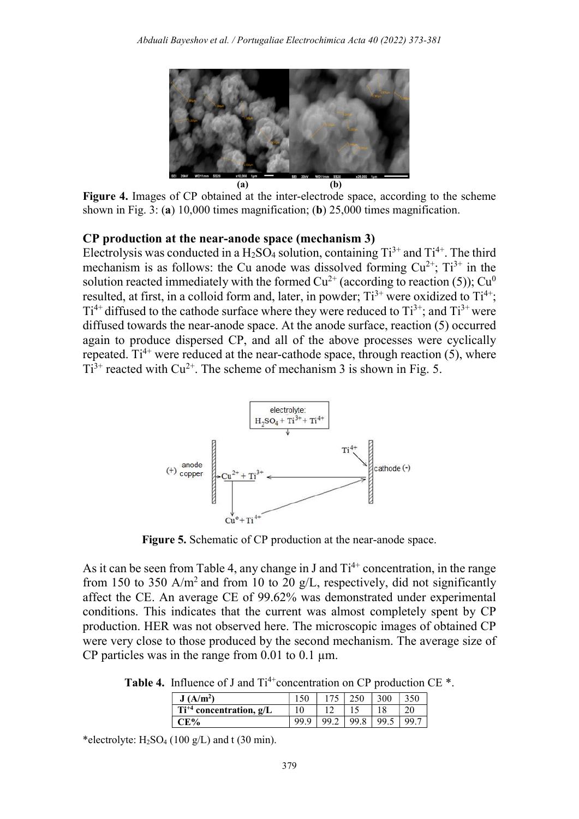

Figure 4. Images of CP obtained at the inter-electrode space, according to the scheme shown in Fig. 3: (a) 10,000 times magnification; (b) 25,000 times magnification.

#### CP production at the near-anode space (mechanism 3)

Electrolysis was conducted in a  $H_2SO_4$  solution, containing  $Ti^{3+}$  and  $Ti^{4+}$ . The third mechanism is as follows: the Cu anode was dissolved forming  $Cu^{2+}$ ;  $Ti^{3+}$  in the solution reacted immediately with the formed  $Cu^{2+}$  (according to reaction (5));  $Cu^{0}$ resulted, at first, in a colloid form and, later, in powder;  $Ti^{3+}$  were oxidized to  $Ti^{4+}$ ;  $Ti^{4+}$  diffused to the cathode surface where they were reduced to  $Ti^{3+}$ ; and  $Ti^{3+}$  were diffused towards the near-anode space. At the anode surface, reaction (5) occurred again to produce dispersed CP, and all of the above processes were cyclically repeated.  $Ti^{4+}$  were reduced at the near-cathode space, through reaction (5), where  $Ti^{3+}$  reacted with Cu<sup>2+</sup>. The scheme of mechanism 3 is shown in Fig. 5.



Figure 5. Schematic of CP production at the near-anode space.

As it can be seen from Table 4, any change in J and  $Ti^{4+}$  concentration, in the range from 150 to 350 A/m<sup>2</sup> and from 10 to 20 g/L, respectively, did not significantly affect the CE. An average CE of 99.62% was demonstrated under experimental conditions. This indicates that the current was almost completely spent by CP production. HER was not observed here. The microscopic images of obtained CP were very close to those produced by the second mechanism. The average size of CP particles was in the range from  $0.01$  to  $0.1 \mu m$ .

Table 4. Influence of J and  $Ti^{4+}$ concentration on CP production CE  $*$ .

| $A/m^2$<br>J                   | $-$ | 250 | $300 -$ |     |
|--------------------------------|-----|-----|---------|-----|
| $+4$ concentration, g/L<br>-11 | ຳ   |     |         | າເ  |
|                                |     | oα  |         | 99. |

\*electrolyte:  $H_2SO_4$  (100 g/L) and t (30 min).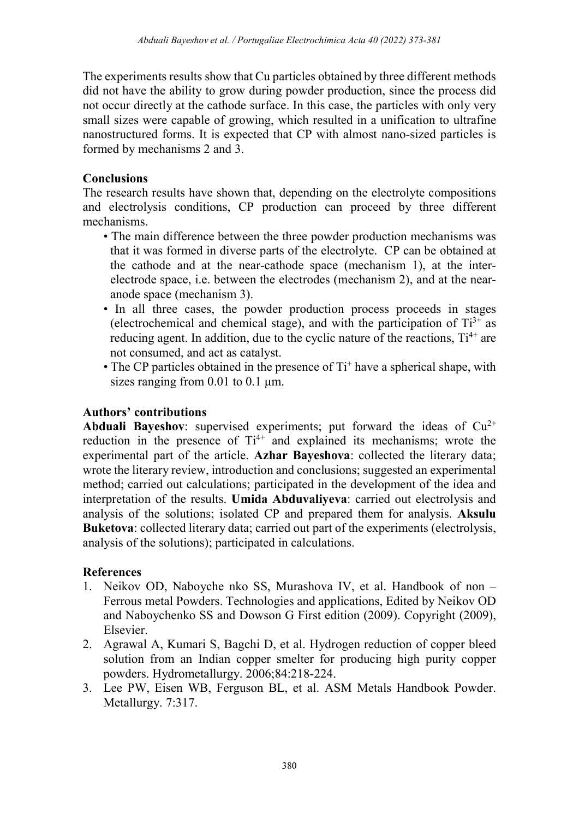The experiments results show that Cu particles obtained by three different methods did not have the ability to grow during powder production, since the process did not occur directly at the cathode surface. In this case, the particles with only very small sizes were capable of growing, which resulted in a unification to ultrafine nanostructured forms. It is expected that CP with almost nano-sized particles is formed by mechanisms 2 and 3.

## **Conclusions**

The research results have shown that, depending on the electrolyte compositions and electrolysis conditions, CP production can proceed by three different mechanisms.

- The main difference between the three powder production mechanisms was that it was formed in diverse parts of the electrolyte. CP can be obtained at the cathode and at the near-cathode space (mechanism 1), at the interelectrode space, i.e. between the electrodes (mechanism 2), and at the nearanode space (mechanism 3).
- In all three cases, the powder production process proceeds in stages (electrochemical and chemical stage), and with the participation of  $Ti^{3+}$  as reducing agent. In addition, due to the cyclic nature of the reactions,  $Ti^{4+}$  are not consumed, and act as catalyst.
- $\bullet$  The CP particles obtained in the presence of Ti<sup>+</sup> have a spherical shape, with sizes ranging from 0.01 to 0.1 μm.

# Authors' contributions

Abduali Bayeshov: supervised experiments; put forward the ideas of  $Cu^{2+}$ reduction in the presence of  $Ti^{4+}$  and explained its mechanisms; wrote the experimental part of the article. Azhar Bayeshova: collected the literary data; wrote the literary review, introduction and conclusions; suggested an experimental method; carried out calculations; participated in the development of the idea and interpretation of the results. Umida Abduvaliyeva: carried out electrolysis and analysis of the solutions; isolated CP and prepared them for analysis. Aksulu Buketova: collected literary data; carried out part of the experiments (electrolysis, analysis of the solutions); participated in calculations.

# References

- 1. Neikov OD, Naboyche nko SS, Murashova IV, et al. Handbook of non Ferrous metal Powders. Technologies and applications, Edited by Neikov OD and Naboychenko SS and Dowson G First edition (2009). Copyright (2009), Elsevier.
- 2. Agrawal A, Kumari S, Bagchi D, et al. Hydrogen reduction of copper bleed solution from an Indian copper smelter for producing high purity copper powders. Hydrometallurgy. 2006;84:218-224.
- 3. Lee PW, Eisen WB, Ferguson BL, et al. ASM Metals Handbook Powder. Metallurgy. 7:317.